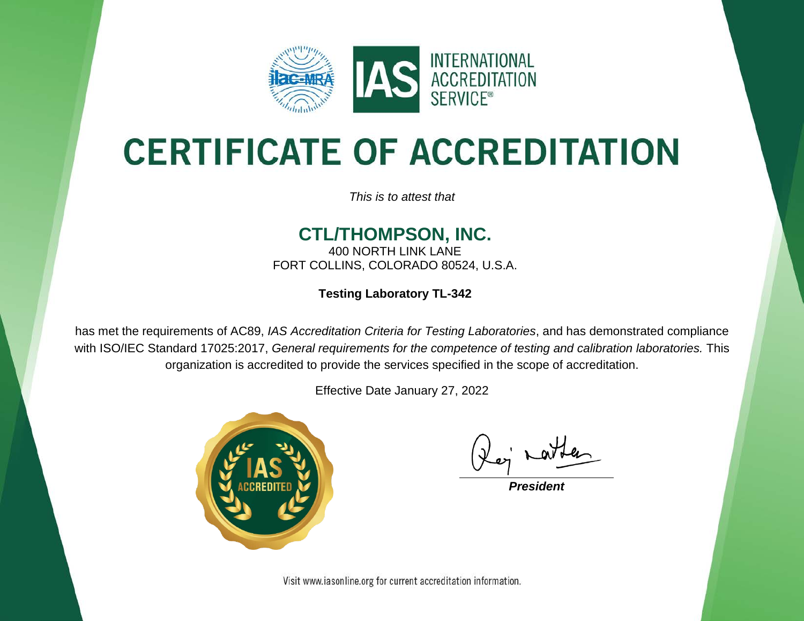

# **CERTIFICATE OF ACCREDITATION**

*This is to attest that*

#### **CTL/THOMPSON, INC.**

400 NORTH LINK LANE FORT COLLINS, COLORADO 80524, U.S.A.

**Testing Laboratory TL-342**

has met the requirements of AC89, *IAS Accreditation Criteria for Testing Laboratories*, and has demonstrated compliance with ISO/IEC Standard 17025:2017, *General requirements for the competence of testing and calibration laboratories.* This organization is accredited to provide the services specified in the scope of accreditation.

Effective Date January 27, 2022



*President*

Visit www.iasonline.org for current accreditation information.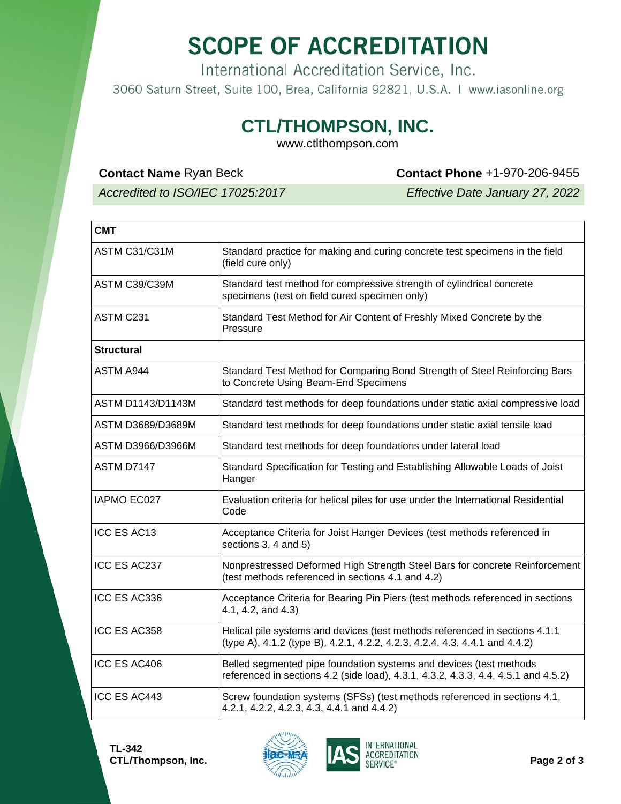## **SCOPE OF ACCREDITATION**

International Accreditation Service, Inc.

3060 Saturn Street, Suite 100, Brea, California 92821, U.S.A. | www.iasonline.org

### **CTL/THOMPSON, INC.**

www.ctlthompson.com

#### **Contact Name** Ryan Beck **Contact Phone** +1-970-206-9455

*Accredited to ISO/IEC 17025:2017 Effective Date January 27, 2022*

| <b>CMT</b>               |                                                                                                                                                            |  |
|--------------------------|------------------------------------------------------------------------------------------------------------------------------------------------------------|--|
| ASTM C31/C31M            | Standard practice for making and curing concrete test specimens in the field<br>(field cure only)                                                          |  |
| ASTM C39/C39M            | Standard test method for compressive strength of cylindrical concrete<br>specimens (test on field cured specimen only)                                     |  |
| ASTM C231                | Standard Test Method for Air Content of Freshly Mixed Concrete by the<br>Pressure                                                                          |  |
| <b>Structural</b>        |                                                                                                                                                            |  |
| <b>ASTM A944</b>         | Standard Test Method for Comparing Bond Strength of Steel Reinforcing Bars<br>to Concrete Using Beam-End Specimens                                         |  |
| <b>ASTM D1143/D1143M</b> | Standard test methods for deep foundations under static axial compressive load                                                                             |  |
| ASTM D3689/D3689M        | Standard test methods for deep foundations under static axial tensile load                                                                                 |  |
| ASTM D3966/D3966M        | Standard test methods for deep foundations under lateral load                                                                                              |  |
| ASTM D7147               | Standard Specification for Testing and Establishing Allowable Loads of Joist<br>Hanger                                                                     |  |
| <b>IAPMO EC027</b>       | Evaluation criteria for helical piles for use under the International Residential<br>Code                                                                  |  |
| ICC ES AC13              | Acceptance Criteria for Joist Hanger Devices (test methods referenced in<br>sections 3, 4 and 5)                                                           |  |
| ICC ES AC237             | Nonprestressed Deformed High Strength Steel Bars for concrete Reinforcement<br>(test methods referenced in sections 4.1 and 4.2)                           |  |
| ICC ES AC336             | Acceptance Criteria for Bearing Pin Piers (test methods referenced in sections<br>4.1, 4.2, and 4.3)                                                       |  |
| ICC ES AC358             | Helical pile systems and devices (test methods referenced in sections 4.1.1<br>(type A), 4.1.2 (type B), 4.2.1, 4.2.2, 4.2.3, 4.2.4, 4.3, 4.4.1 and 4.4.2) |  |
| ICC ES AC406             | Belled segmented pipe foundation systems and devices (test methods<br>referenced in sections 4.2 (side load), 4.3.1, 4.3.2, 4.3.3, 4.4, 4.5.1 and 4.5.2)   |  |
| ICC ES AC443             | Screw foundation systems (SFSs) (test methods referenced in sections 4.1,<br>4.2.1, 4.2.2, 4.2.3, 4.3, 4.4.1 and 4.4.2)                                    |  |